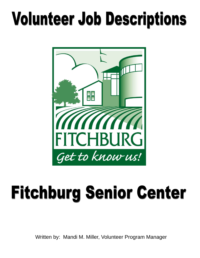

# **Fitchburg Senior Center**

Written by: Mandi M. Miller, Volunteer Program Manager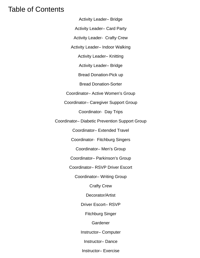# Table of Contents

Activity Leader– Bridge

Activity Leader– Card Party

Activity Leader- Crafty Crew

Activity Leader– Indoor Walking

Activity Leader– Knitting

Activity Leader– Bridge

Bread Donation-Pick up

Bread Donation-Sorter

Coordinator– Active Women's Group

Coordinator– Caregiver Support Group

Coordinator- Day Trips

Coordinator– Diabetic Prevention Support Group

Coordinator– Extended Travel

Coordinator- Fitchburg Singers

Coordinator– Men's Group

Coordinator– Parkinson's Group

Coordinator– RSVP Driver Escort

Coordinator– Writing Group

Crafty Crew

Decorator/Artist

Driver Escort– RSVP

Fitchburg Singer

Gardener

Instructor– Computer

Instructor– Dance

Instructor– Exercise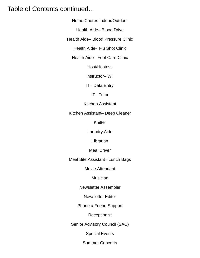## Table of Contents continued...

Home Chores Indoor/Outdoor

Health Aide– Blood Drive

Health Aide– Blood Pressure Clinic

Health Aide- Flu Shot Clinic

Health Aide- Foot Care Clinic

Host/Hostess

instructor– Wii

IT– Data Entry

IT– Tutor

Kitchen Assistant

Kitchen Assistant– Deep Cleaner

Knitter

Laundry Aide

**Librarian** 

Meal Driver

Meal Site Assistant– Lunch Bags

Movie Attendant

Musician

Newsletter Assembler

Newsletter Editor

Phone a Friend Support

Receptionist

Senior Advisory Council (SAC)

Special Events

Summer Concerts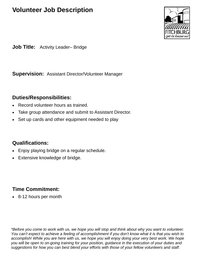

**Job Title:** Activity Leader– Bridge

**Supervision:** Assistant Director/Volunteer Manager

#### **Duties/Responsibilities:**

- Record volunteer hours as trained.
- Take group attendance and submit to Assistant Director.
- Set up cards and other equipment needed to play

#### **Qualifications:**

- Enjoy playing bridge on a regular schedule.
- Extensive knowledge of bridge.

## **Time Commitment:**

• 8-12 hours per month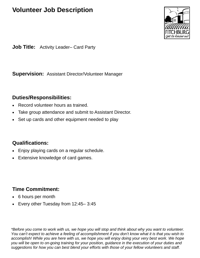

**Job Title:** Activity Leader– Card Party

**Supervision:** Assistant Director/Volunteer Manager

#### **Duties/Responsibilities:**

- Record volunteer hours as trained.
- Take group attendance and submit to Assistant Director.
- Set up cards and other equipment needed to play

#### **Qualifications:**

- Enjoy playing cards on a regular schedule.
- Extensive knowledge of card games.

## **Time Commitment:**

- 6 hours per month
- Every other Tuesday from 12:45– 3:45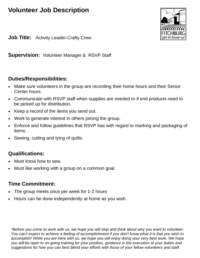

**Job Title:** Activity Leader-Crafty Crew

**Supervision:** Volunteer Manager & RSVP Staff

#### **Duties/Responsibilities:**

- Make sure volunteers in the group are recording their home hours and their Senior Center hours.
- Communicate with RSVP staff when supplies are needed or if end products need to be picked up for distribution.
- Keep a record of the items you send out.
- Work to generate interest in others joining the group.
- Enforce and follow guidelines that RSVP has with regard to marking and packaging of items.
- Sewing, cutting and tying of quilts.

## **Qualifications:**

- Must know how to sew.
- Must like working with a group on a common goal.

## **Time Commitment:**

- The group meets once per week for 1-2 hours
- Hours can be done independently at home as you wish.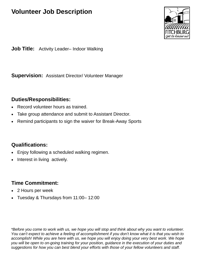

**Job Title:** Activity Leader– Indoor Walking

**Supervision:** Assistant Director/ Volunteer Manager

#### **Duties/Responsibilities:**

- Record volunteer hours as trained.
- Take group attendance and submit to Assistant Director.
- Remind participants to sign the waiver for Break-Away Sports

#### **Qualifications:**

- Enjoy following a scheduled walking regimen.
- Interest in living actively.

## **Time Commitment:**

- 2 Hours per week
- Tuesday & Thursdays from 11:00– 12:00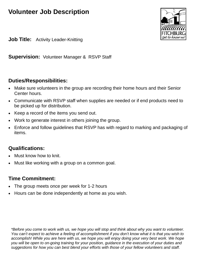

**Job Title:** Activity Leader-Knitting

**Supervision:** Volunteer Manager & RSVP Staff

#### **Duties/Responsibilities:**

- Make sure volunteers in the group are recording their home hours and their Senior Center hours.
- Communicate with RSVP staff when supplies are needed or if end products need to be picked up for distribution.
- Keep a record of the items you send out.
- Work to generate interest in others joining the group.
- Enforce and follow guidelines that RSVP has with regard to marking and packaging of items.

## **Qualifications:**

- Must know how to knit.
- Must like working with a group on a common goal.

## **Time Commitment:**

- The group meets once per week for 1-2 hours
- Hours can be done independently at home as you wish.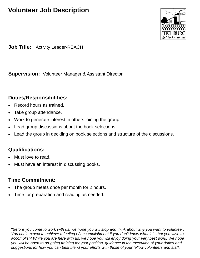

**Job Title:** Activity Leader-REACH

**Supervision:** Volunteer Manager & Assistant Director

#### **Duties/Responsibilities:**

- Record hours as trained.
- Take group attendance.
- Work to generate interest in others joining the group.
- Lead group discussions about the book selections.
- Lead the group in deciding on book selections and structure of the discussions.

## **Qualifications:**

- Must love to read.
- Must have an interest in discussing books.

#### **Time Commitment:**

- The group meets once per month for 2 hours.
- Time for preparation and reading as needed.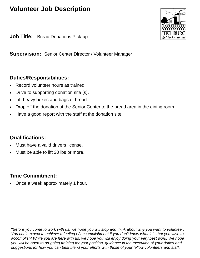**Job Title:** Bread Donations Pick-up

**Supervision:** Senior Center Director / Volunteer Manager

#### **Duties/Responsibilities:**

- Record volunteer hours as trained.
- Drive to supporting donation site (s).
- Lift heavy boxes and bags of bread.
- Drop off the donation at the Senior Center to the bread area in the dining room.
- Have a good report with the staff at the donation site.

#### **Qualifications:**

- Must have a valid drivers license.
- Must be able to lift 30 lbs or more.

#### **Time Commitment:**

• Once a week approximately 1 hour.

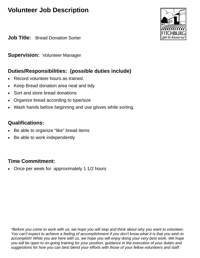**Job Title:** Bread Donation Sorter

**Supervision: Volunteer Manager** 

## **Duties/Responsibilities: (possible duties include)**

- Record volunteer hours as trained.
- Keep Bread donation area neat and tidy
- Sort and store bread donations
- Organize bread according to type/size
- Wash hands before beginning and use gloves while sorting.

## **Qualifications:**

- Be able to organize "like" bread items
- Be able to work independently

## **Time Commitment:**

• Once per week for approximately 1 1/2 hours

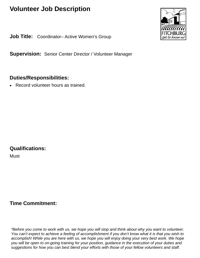**Job Title:** Coordinator– Active Women's Group

**Supervision:** Senior Center Director / Volunteer Manager

#### **Duties/Responsibilities:**

• Record volunteer hours as trained.

## **Qualifications:**

**Must** 

## **Time Commitment:**

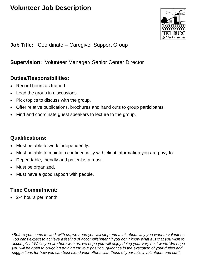

#### **Job Title:** Coordinator– Caregiver Support Group

#### **Supervision:** Volunteer Manager/ Senior Center Director

#### **Duties/Responsibilities:**

- Record hours as trained.
- Lead the group in discussions.
- Pick topics to discuss with the group.
- Offer relative publications, brochures and hand outs to group participants.
- Find and coordinate guest speakers to lecture to the group.

#### **Qualifications:**

- Must be able to work independently.
- Must be able to maintain confidentiality with client information you are privy to.
- Dependable, friendly and patient is a must.
- Must be organized.
- Must have a good rapport with people.

#### **Time Commitment:**

• 2-4 hours per month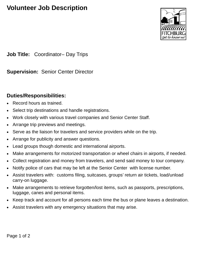

**Job Title:** Coordinator– Day Trips

**Supervision:** Senior Center Director

#### **Duties/Responsibilities:**

- Record hours as trained.
- Select trip destinations and handle registrations.
- Work closely with various travel companies and Senior Center Staff.
- Arrange trip previews and meetings.
- Serve as the liaison for travelers and service providers while on the trip.
- Arrange for publicity and answer questions.
- Lead groups though domestic and international airports.
- Make arrangements for motorized transportation or wheel chairs in airports, if needed.
- Collect registration and money from travelers, and send said money to tour company.
- Notify police of cars that may be left at the Senior Center with license number.
- Assist travelers with: customs filing, suitcases, groups' return air tickets, load/unload carry-on luggage.
- Make arrangements to retrieve forgotten/lost items, such as passports, prescriptions, luggage, canes and personal items.
- Keep track and account for all persons each time the bus or plane leaves a destination.
- Assist travelers with any emergency situations that may arise.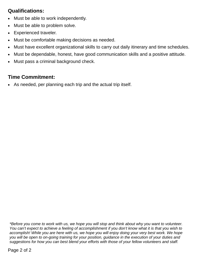## **Qualifications:**

- Must be able to work independently.
- Must be able to problem solve.
- Experienced traveler.
- Must be comfortable making decisions as needed.
- Must have excellent organizational skills to carry out daily itinerary and time schedules.
- Must be dependable, honest, have good communication skills and a positive attitude.
- Must pass a criminal background check.

## **Time Commitment:**

As needed, per planning each trip and the actual trip itself.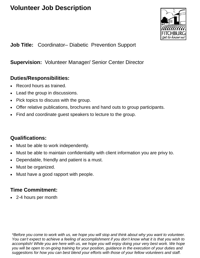

**Job Title:** Coordinator– Diabetic Prevention Support

#### **Supervision:** Volunteer Manager/ Senior Center Director

#### **Duties/Responsibilities:**

- Record hours as trained.
- Lead the group in discussions.
- Pick topics to discuss with the group.
- Offer relative publications, brochures and hand outs to group participants.
- Find and coordinate guest speakers to lecture to the group.

#### **Qualifications:**

- Must be able to work independently.
- Must be able to maintain confidentiality with client information you are privy to.
- Dependable, friendly and patient is a must.
- Must be organized.
- Must have a good rapport with people.

#### **Time Commitment:**

• 2-4 hours per month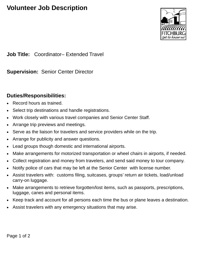

**Job Title:** Coordinator– Extended Travel

**Supervision:** Senior Center Director

#### **Duties/Responsibilities:**

- Record hours as trained.
- Select trip destinations and handle registrations.
- Work closely with various travel companies and Senior Center Staff.
- Arrange trip previews and meetings.
- Serve as the liaison for travelers and service providers while on the trip.
- Arrange for publicity and answer questions.
- Lead groups though domestic and international airports.
- Make arrangements for motorized transportation or wheel chairs in airports, if needed.
- Collect registration and money from travelers, and send said money to tour company.
- Notify police of cars that may be left at the Senior Center with license number.
- Assist travelers with: customs filing, suitcases, groups' return air tickets, load/unload carry-on luggage.
- Make arrangements to retrieve forgotten/lost items, such as passports, prescriptions, luggage, canes and personal items.
- Keep track and account for all persons each time the bus or plane leaves a destination.
- Assist travelers with any emergency situations that may arise.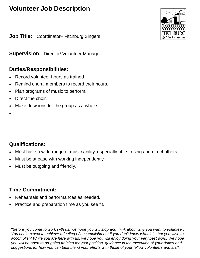**Job Title:** Coordinator– Fitchburg Singers

**Supervision:** Director/ Volunteer Manager

#### **Duties/Responsibilities:**

- Record volunteer hours as trained.
- Remind choral members to record their hours.
- Plan programs of music to perform.
- Direct the choir.
- Make decisions for the group as a whole.
- •

## **Qualifications:**

- Must have a wide range of music ability, especially able to sing and direct others.
- Must be at ease with working independently.
- Must be outgoing and friendly.

## **Time Commitment:**

- Rehearsals and performances as needed.
- Practice and preparation time as you see fit.

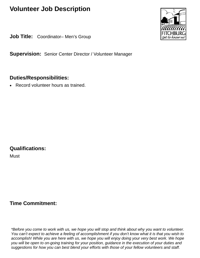**Job Title:** Coordinator-Men's Group

**Supervision:** Senior Center Director / Volunteer Manager

#### **Duties/Responsibilities:**

• Record volunteer hours as trained.

## **Qualifications:**

**Must** 

## **Time Commitment:**

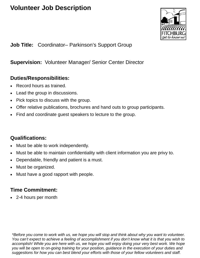

**Job Title:** Coordinator– Parkinson's Support Group

#### **Supervision:** Volunteer Manager/ Senior Center Director

#### **Duties/Responsibilities:**

- Record hours as trained.
- Lead the group in discussions.
- Pick topics to discuss with the group.
- Offer relative publications, brochures and hand outs to group participants.
- Find and coordinate guest speakers to lecture to the group.

#### **Qualifications:**

- Must be able to work independently.
- Must be able to maintain confidentiality with client information you are privy to.
- Dependable, friendly and patient is a must.
- Must be organized.
- Must have a good rapport with people.

#### **Time Commitment:**

• 2-4 hours per month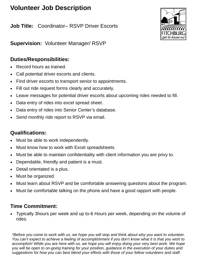**Job Title:** Coordinator– RSVP Driver Escorts



**Supervision:** Volunteer Manager/ RSVP

#### **Duties/Responsibilities:**

- Record hours as trained.
- Call potential driver escorts and clients.
- Find driver escorts to transport senior to appointments.
- Fill out ride request forms clearly and accurately.
- Leave messages for potential driver escorts about upcoming rides needed to fill.
- Data entry of rides into excel spread sheet.
- Data entry of rides into Senior Center's database.
- Send monthly ride report to RSVP via email.

#### **Qualifications:**

- Must be able to work independently.
- Must know how to work with Excel spreadsheets.
- Must be able to maintain confidentiality with client information you are privy to.
- Dependable, friendly and patient is a must.
- Detail orientated is a plus.
- Must be organized.
- Must learn about RSVP and be comfortable answering questions about the program.
- Must be comfortable talking on the phone and have a good rapport with people.

#### **Time Commitment:**

• Typically 3hours per week and up to-6 Hours per week, depending on the volume of rides.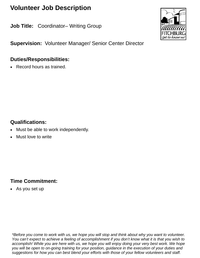**Job Title: Coordinator– Writing Group** 

**Supervision:** Volunteer Manager/ Senior Center Director

#### **Duties/Responsibilities:**

• Record hours as trained.

## **Qualifications:**

- Must be able to work independently.
- Must love to write

## **Time Commitment:**

• As you set up

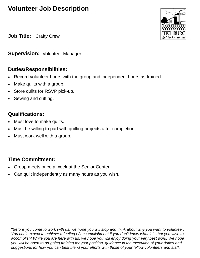**Job Title:** Crafty Crew

**Supervision:** Volunteer Manager

#### **Duties/Responsibilities:**

- Record volunteer hours with the group and independent hours as trained.
- Make quilts with a group.
- Store quilts for RSVP pick-up.
- Sewing and cutting.

#### **Qualifications:**

- Must love to make quilts.
- Must be willing to part with quilting projects after completion.
- Must work well with a group.

## **Time Commitment:**

- Group meets once a week at the Senior Center.
- Can quilt independently as many hours as you wish.

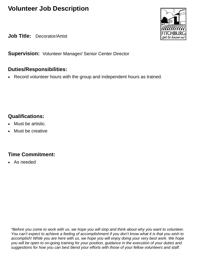**Job Title:** Decorator/Artist

**Supervision:** Volunteer Manager/ Senior Center Director

## **Duties/Responsibilities:**

• Record volunteer hours with the group and independent hours as trained.

## **Qualifications:**

- Must be artistic.
- Must be creative

## **Time Commitment:**

• As needed

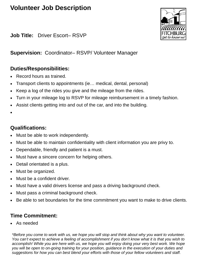

**Job Title:** Driver Escort– RSVP

**Supervision:** Coordinator– RSVP/ Volunteer Manager

#### **Duties/Responsibilities:**

- Record hours as trained.
- Transport clients to appointments (ie… medical, dental, personal)
- Keep a log of the rides you give and the mileage from the rides.
- Turn in your mileage log to RSVP for mileage reimbursement in a timely fashion.
- Assist clients getting into and out of the car, and into the building.
- •

#### **Qualifications:**

- Must be able to work independently.
- Must be able to maintain confidentiality with client information you are privy to.
- Dependable, friendly and patient is a must.
- Must have a sincere concern for helping others.
- Detail orientated is a plus.
- Must be organized.
- Must be a confident driver.
- Must have a valid drivers license and pass a driving background check.
- Must pass a criminal background check.
- Be able to set boundaries for the time commitment you want to make to drive clients.

#### **Time Commitment:**

• As needed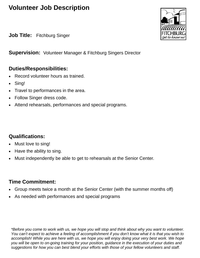**Job Title:** Fitchburg Singer

**Supervision:** Volunteer Manager & Fitchburg Singers Director

#### **Duties/Responsibilities:**

- Record volunteer hours as trained.
- Sing!
- Travel to performances in the area.
- Follow Singer dress code.
- Attend rehearsals, performances and special programs.

#### **Qualifications:**

- Must love to sing!
- Have the ability to sing.
- Must independently be able to get to rehearsals at the Senior Center.

## **Time Commitment:**

- Group meets twice a month at the Senior Center (with the summer months off)
- As needed with performances and special programs

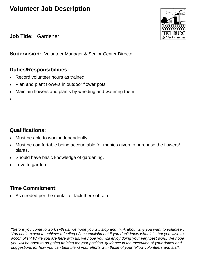jet to know us

**Job Title:** Gardener

**Supervision:** Volunteer Manager & Senior Center Director

#### **Duties/Responsibilities:**

- Record volunteer hours as trained.
- Plan and plant flowers in outdoor flower pots.
- Maintain flowers and plants by weeding and watering them.
- •

#### **Qualifications:**

- Must be able to work independently.
- Must be comfortable being accountable for monies given to purchase the flowers/ plants.
- Should have basic knowledge of gardening.
- Love to garden.

#### **Time Commitment:**

• As needed per the rainfall or lack there of rain.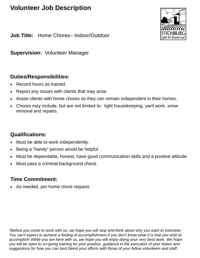

**Job Title:** Home Chores– Indoor/Outdoor

**Supervision:** Volunteer Manager

#### **Duties/Responsibilities:**

- Record hours as trained.
- Report any issues with clients that may arise.
- Assist clients with home chores so they can remain independent in their homes.
- Chores may include, but are not limited to: light housekeeping, yard work, snow removal and repairs.

#### **Qualifications:**

- Must be able to work independently.
- Being a "handy" person would be helpful.
- Must be dependable, honest, have good communication skills and a positive attitude.
- Must pass a criminal background check.

#### **Time Commitment:**

• As needed, per home chore request.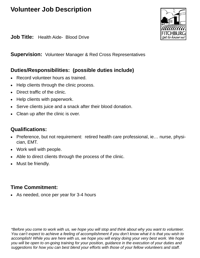**Job Title:** Health Aide- Blood Drive

**Supervision:** Volunteer Manager & Red Cross Representatives

## **Duties/Responsibilities: (possible duties include)**

- Record volunteer hours as trained.
- Help clients through the clinic process.
- Direct traffic of the clinic.
- Help clients with paperwork.
- Serve clients juice and a snack after their blood donation.
- Clean up after the clinic is over.

#### **Qualifications:**

- Preference, but not requirement: retired health care professional, ie… nurse, physician, EMT.
- Work well with people.
- Able to direct clients through the process of the clinic.
- Must be friendly.

## **Time Commitment:**

• As needed, once per year for 3-4 hours

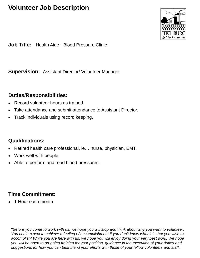

**Job Title:** Health Aide- Blood Pressure Clinic

**Supervision:** Assistant Director/ Volunteer Manager

#### **Duties/Responsibilities:**

- Record volunteer hours as trained.
- Take attendance and submit attendance to Assistant Director.
- Track individuals using record keeping.

#### **Qualifications:**

- Retired health care professional, ie… nurse, physician, EMT.
- Work well with people.
- Able to perform and read blood pressures.

#### **Time Commitment:**

• 1 Hour each month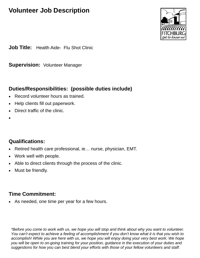

**Job Title:** Health Aide- Flu Shot Clinic

**Supervision:** Volunteer Manager

## **Duties/Responsibilities: (possible duties include)**

- Record volunteer hours as trained.
- Help clients fill out paperwork.
- Direct traffic of the clinic.
- •

## **Qualifications:**

- Retired health care professional, ie… nurse, physician, EMT.
- Work well with people.
- Able to direct clients through the process of the clinic.
- Must be friendly.

## **Time Commitment:**

• As needed, one time per year for a few hours.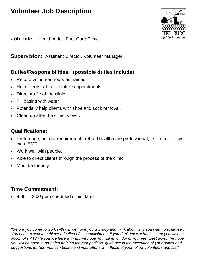

**Job Title:** Health Aide- Foot Care Clinic

**Supervision:** Assistant Director/ Volunteer Manager

#### **Duties/Responsibilities: (possible duties include)**

- Record volunteer hours as trained.
- Help clients schedule future appointments
- Direct traffic of the clinic.
- Fill basins with water.
- Potentially help clients with shoe and sock removal.
- Clean up after the clinic is over.

#### **Qualifications:**

- Preference, but not requirement: retired health care professional, ie… nurse, physician, EMT.
- Work well with people.
- Able to direct clients through the process of the clinic.
- Must be friendly.

## **Time Commitment:**

• 8:00– 12:00 per scheduled clinic dates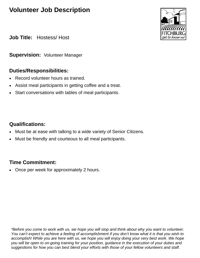

**Job Title:** Hostess/ Host

**Supervision:** Volunteer Manager

#### **Duties/Responsibilities:**

- Record volunteer hours as trained.
- Assist meal participants in getting coffee and a treat.
- Start conversations with tables of meal participants.

#### **Qualifications:**

- Must be at ease with talking to a wide variety of Senior Citizens.
- Must be friendly and courteous to all meal participants.

## **Time Commitment:**

• Once per week for approximately 2 hours.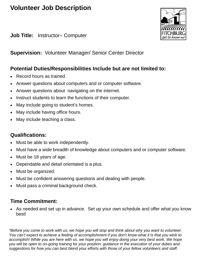**Job Title:** Instructor– Computer

jet to know us

**Supervision:** Volunteer Manager/ Senior Center Director

#### **Potential Duties/Responsibilities Include but are not limited to:**

- Record hours as trained.
- Answer questions about computers and or computer software.
- Answer questions about navigating on the internet.
- Instruct students to learn the functions of their computer.
- May include going to student's homes.
- May include having office hours.
- May include teaching a class.

#### **Qualifications:**

- Must be able to work independently.
- Must have a wide breadth of knowledge about computers and or computer software.
- Must be 18 years of age.
- Dependable and detail orientated is a plus.
- Must be organized.
- Must be confident answering questions and dealing with people.
- Must pass a criminal background check.

## **Time Commitment:**

As needed and set up in advance. Set up your own schedule and offer what you know best!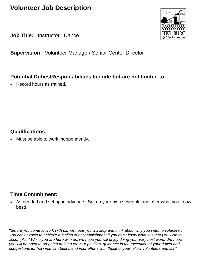**Job Title:** Instructor– Dance

**Supervision:** Volunteer Manager/ Senior Center Director

#### **Potential Duties/Responsibilities Include but are not limited to:**

• Record hours as trained.

#### **Qualifications:**

• Must be able to work independently.

#### **Time Commitment:**

• As needed and set up in advance. Set up your own schedule and offer what you know best!

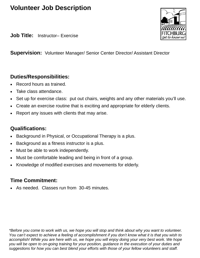**Job Title:** Instructor– Exercise

**Supervision:** Volunteer Manager/ Senior Center Director/ Assistant Director

#### **Duties/Responsibilities:**

- Record hours as trained.
- Take class attendance.
- Set up for exercise class: put out chairs, weights and any other materials you'll use.
- Create an exercise routine that is exciting and appropriate for elderly clients.
- Report any issues with clients that may arise.

#### **Qualifications:**

- Background in Physical, or Occupational Therapy is a plus.
- Background as a fitness instructor is a plus.
- Must be able to work independently.
- Must be comfortable leading and being in front of a group.
- Knowledge of modified exercises and movements for elderly.

## **Time Commitment:**

• As needed. Classes run from 30-45 minutes.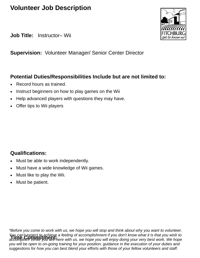**Job Title:** Instructor– Wii

**Supervision:** Volunteer Manager/ Senior Center Director

#### **Potential Duties/Responsibilities Include but are not limited to:**

- Record hours as trained.
- Instruct beginners on how to play games on the Wii
- Help advanced players with questions they may have.
- Offer tips to Wii players

#### **Qualifications:**

- Must be able to work independently.
- Must have a wide knowledge of Wii games.
- Must like to play the Wii.
- Must be patient.

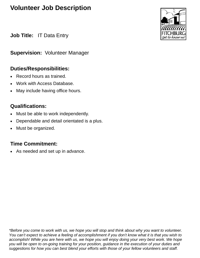**Job Title:** IT Data Entry

**Supervision:** Volunteer Manager

#### **Duties/Responsibilities:**

- Record hours as trained.
- Work with Access Database.
- May include having office hours.

## **Qualifications:**

- Must be able to work independently.
- Dependable and detail orientated is a plus.
- Must be organized.

## **Time Commitment:**

• As needed and set up in advance.

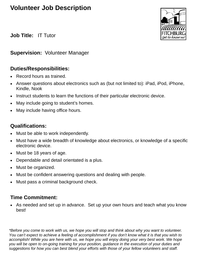

**Job Title:** IT Tutor

#### **Supervision:** Volunteer Manager

#### **Duties/Responsibilities:**

- Record hours as trained.
- Answer questions about electronics such as (but not limited to): iPad, iPod, iPhone, Kindle, Nook
- Instruct students to learn the functions of their particular electronic device.
- May include going to student's homes.
- May include having office hours.

#### **Qualifications:**

- Must be able to work independently.
- Must have a wide breadth of knowledge about electronics, or knowledge of a specific electronic device.
- Must be 18 years of age.
- Dependable and detail orientated is a plus.
- Must be organized.
- Must be confident answering questions and dealing with people.
- Must pass a criminal background check.

## **Time Commitment:**

As needed and set up in advance. Set up your own hours and teach what you know best!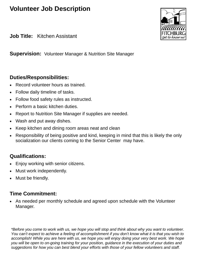**Job Title:** Kitchen Assistant

**Supervision:** Volunteer Manager & Nutrition Site Manager

#### **Duties/Responsibilities:**

- Record volunteer hours as trained.
- Follow daily timeline of tasks.
- Follow food safety rules as instructed.
- Perform a basic kitchen duties.
- Report to Nutrition Site Manager if supplies are needed.
- Wash and put away dishes.
- Keep kitchen and dining room areas neat and clean
- Responsibility of being positive and kind, keeping in mind that this is likely the only socialization our clients coming to the Senior Center may have.

## **Qualifications:**

- Enjoy working with senior citizens.
- Must work independently.
- Must be friendly.

## **Time Commitment:**

As needed per monthly schedule and agreed upon schedule with the Volunteer Manager.

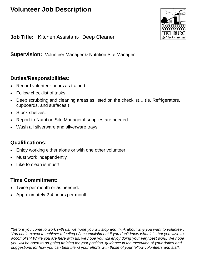

**Job Title:** Kitchen Assistant- Deep Cleaner

**Supervision:** Volunteer Manager & Nutrition Site Manager

#### **Duties/Responsibilities:**

- Record volunteer hours as trained.
- Follow checklist of tasks.
- Deep scrubbing and cleaning areas as listed on the checklist… (ie. Refrigerators, cupboards, and surfaces.)
- Stock shelves.
- Report to Nutrition Site Manager if supplies are needed.
- Wash all silverware and silverware trays.

#### **Qualifications:**

- Enjoy working either alone or with one other volunteer
- Must work independently.
- Like to clean is must!

#### **Time Commitment:**

- Twice per month or as needed.
- Approximately 2-4 hours per month.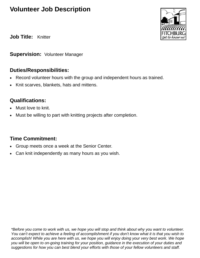

**Job Title:** Knitter

**Supervision:** Volunteer Manager

#### **Duties/Responsibilities:**

- Record volunteer hours with the group and independent hours as trained.
- Knit scarves, blankets, hats and mittens.

#### **Qualifications:**

- Must love to knit.
- Must be willing to part with knitting projects after completion.

#### **Time Commitment:**

- Group meets once a week at the Senior Center.
- Can knit independently as many hours as you wish.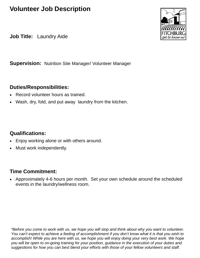**Job Title:** Laundry Aide

**Supervision:** Nutrition Site Manager/ Volunteer Manager

#### **Duties/Responsibilities:**

- Record volunteer hours as trained.
- Wash, dry, fold, and put away laundry from the kitchen.

#### **Qualifications:**

- Enjoy working alone or with others around.
- Must work independently.

#### **Time Commitment:**

• Approximately 4-6 hours per month. Set your own schedule around the scheduled events in the laundry/wellness room.

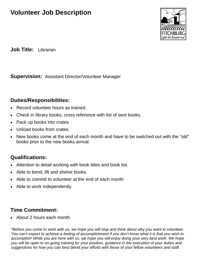

**Job Title:** Librarian

**Supervision:** Assistant Director/Volunteer Manager

#### **Duties/Responsibilities:**

- Record volunteer hours as trained.
- Check in library books, cross reference with list of sent books.
- Pack up books into crates
- Unload books from crates
- New books come at the end of each month and have to be switched out with the "old" books prior to the new books arrival.

## **Qualifications:**

- Attention to detail working with book titles and book list.
- Able to bend, lift and shelve books.
- Able to commit to volunteer at the end of each month
- Able to work independently.

## **Time Commitment:**

• About 2 hours each month.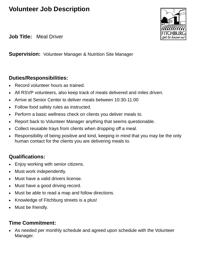

**Job Title:** Meal Driver

**Supervision:** Volunteer Manager & Nutrition Site Manager

#### **Duties/Responsibilities:**

- Record volunteer hours as trained.
- All RSVP volunteers, also keep track of meals delivered and miles driven.
- Arrive at Senior Center to deliver meals between 10:30-11:00
- Follow food safety rules as instructed.
- Perform a basic wellness check on clients you deliver meals to.
- Report back to Volunteer Manager anything that seems questionable.
- Collect reusable trays from clients when dropping off a meal.
- Responsibility of being positive and kind, keeping in mind that you may be the only human contact for the clients you are delivering meals to.

## **Qualifications:**

- Enjoy working with senior citizens.
- Must work independently.
- Must have a valid drivers license.
- Must have a good driving record.
- Must be able to read a map and follow directions.
- Knowledge of Fitchburg streets is a plus!
- Must be friendly.

## **Time Commitment:**

• As needed per monthly schedule and agreed upon schedule with the Volunteer Manager.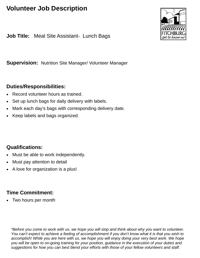**Job Title:** Meal Site Assistant- Lunch Bags

**Supervision:** Nutrition Site Manager/ Volunteer Manager

#### **Duties/Responsibilities:**

- Record volunteer hours as trained.
- Set up lunch bags for daily delivery with labels.
- Mark each day's bags with corresponding delivery date.
- Keep labels and bags organized.

#### **Qualifications:**

- Must be able to work independently.
- Must pay attention to detail
- A love for organization is a plus!

## **Time Commitment:**

Two hours per month

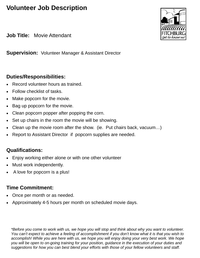**Job Title:** Movie Attendant

**Supervision:** Volunteer Manager & Assistant Director

#### **Duties/Responsibilities:**

- Record volunteer hours as trained.
- Follow checklist of tasks.
- Make popcorn for the movie.
- Bag up popcorn for the movie.
- Clean popcorn popper after popping the corn.
- Set up chairs in the room the movie will be showing.
- Clean up the movie room after the show. (ie. Put chairs back, vacuum…)
- Report to Assistant Director if popcorn supplies are needed.

## **Qualifications:**

- Enjoy working either alone or with one other volunteer
- Must work independently.
- A love for popcorn is a plus!

## **Time Commitment:**

- Once per month or as needed.
- Approximately 4-5 hours per month on scheduled movie days.

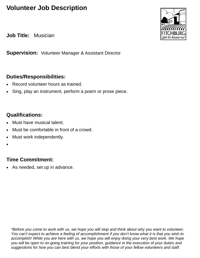**Job Title:** Musician

**Supervision:** Volunteer Manager & Assistant Director

#### **Duties/Responsibilities:**

- Record volunteer hours as trained.
- Sing, play an instrument, perform a poem or prose piece.

#### **Qualifications:**

- Must have musical talent.
- Must be comfortable in front of a crowd.
- Must work independently.
- •

#### **Time Commitment:**

As needed, set up in advance.

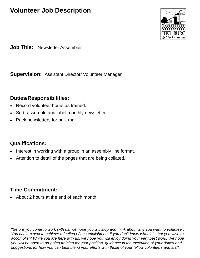

**Job Title:** Newsletter Assembler

**Supervision:** Assistant Director/ Volunteer Manager

#### **Duties/Responsibilities:**

- Record volunteer hours as trained.
- Sort, assemble and label monthly newsletter
- Pack newsletters for bulk mail.

#### **Qualifications:**

- Interest in working with a group in an assembly line format.
- Attention to detail of the pages that are being collated.

#### **Time Commitment:**

• About 2 hours at the end of each month.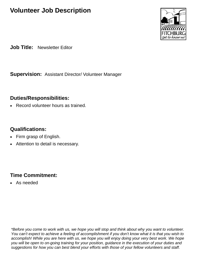

**Job Title:** Newsletter Editor

**Supervision:** Assistant Director/ Volunteer Manager

#### **Duties/Responsibilities:**

Record volunteer hours as trained.

#### **Qualifications:**

- Firm grasp of English.
- Attention to detail is necessary.

## **Time Commitment:**

As needed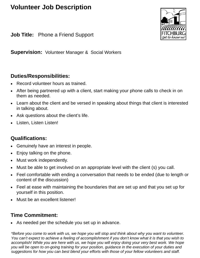**Job Title:** Phone a Friend Support



**Supervision:** Volunteer Manager & Social Workers

#### **Duties/Responsibilities:**

- Record volunteer hours as trained.
- After being partnered up with a client, start making your phone calls to check in on them as needed.
- Learn about the client and be versed in speaking about things that client is interested in talking about.
- Ask questions about the client's life.
- Listen, Listen Listen!

## **Qualifications:**

- Genuinely have an interest in people.
- Enjoy talking on the phone.
- Must work independently.
- Must be able to get involved on an appropriate level with the client (s) you call.
- Feel comfortable with ending a conversation that needs to be ended (due to length or content of the discussion)
- Feel at ease with maintaining the boundaries that are set up and that you set up for yourself in this position.
- Must be an excellent listener!

## **Time Commitment:**

• As needed per the schedule you set up in advance.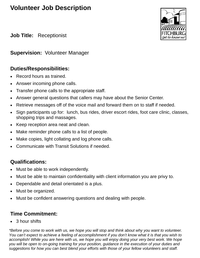

**Job Title:** Receptionist

**Supervision:** Volunteer Manager

#### **Duties/Responsibilities:**

- Record hours as trained.
- Answer incoming phone calls.
- Transfer phone calls to the appropriate staff.
- Answer general questions that callers may have about the Senior Center.
- Retrieve messages off of the voice mail and forward them on to staff if needed.
- Sign participants up for: lunch, bus rides, driver escort rides, foot care clinic, classes, shopping trips and massages.
- Keep reception area neat and clean.
- Make reminder phone calls to a list of people.
- Make copies, light collating and log phone calls.
- Communicate with Transit Solutions if needed.

#### **Qualifications:**

- Must be able to work independently.
- Must be able to maintain confidentiality with client information you are privy to.
- Dependable and detail orientated is a plus.
- Must be organized.
- Must be confident answering questions and dealing with people.

## **Time Commitment:**

• 3 hour shifts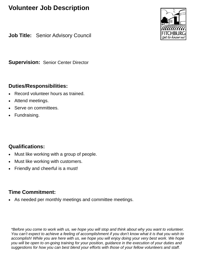**Job Title:** Senior Advisory Council

**Supervision:** Senior Center Director

#### **Duties/Responsibilities:**

- Record volunteer hours as trained.
- Attend meetings.
- Serve on committees.
- Fundraising.

## **Qualifications:**

- Must like working with a group of people.
- Must like working with customers.
- Friendly and cheerful is a must!

## **Time Commitment:**

• As needed per monthly meetings and committee meetings.

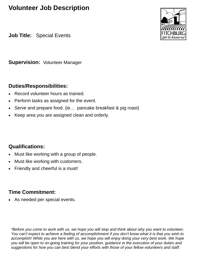**Job Title:** Special Events

**Supervision:** Volunteer Manager

#### **Duties/Responsibilities:**

- Record volunteer hours as trained.
- Perform tasks as assigned for the event.
- Serve and prepare food. (ie... pancake breakfast & pig roast)
- Keep area you are assigned clean and orderly.

#### **Qualifications:**

- Must like working with a group of people.
- Must like working with customers.
- Friendly and cheerful is a must!

## **Time Commitment:**

As needed per special events.

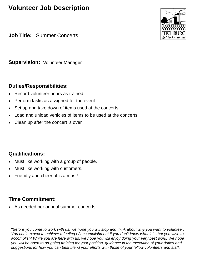**Job Title:** Summer Concerts

**Supervision:** Volunteer Manager

#### **Duties/Responsibilities:**

- Record volunteer hours as trained.
- Perform tasks as assigned for the event.
- Set up and take down of items used at the concerts.
- Load and unload vehicles of items to be used at the concerts.
- Clean up after the concert is over.

## **Qualifications:**

- Must like working with a group of people.
- Must like working with customers.
- Friendly and cheerful is a must!

## **Time Commitment:**

As needed per annual summer concerts.